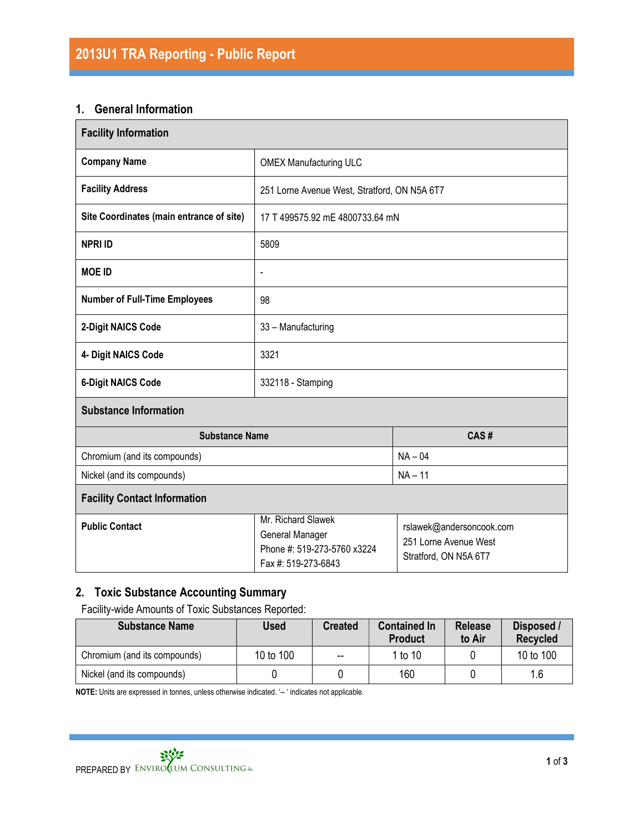#### 1. General Information

| <b>Facility Information</b>              |                                                                                             |                                                                            |  |  |  |
|------------------------------------------|---------------------------------------------------------------------------------------------|----------------------------------------------------------------------------|--|--|--|
| <b>Company Name</b>                      | <b>OMEX Manufacturing ULC</b>                                                               |                                                                            |  |  |  |
| <b>Facility Address</b>                  | 251 Lorne Avenue West, Stratford, ON N5A 6T7                                                |                                                                            |  |  |  |
| Site Coordinates (main entrance of site) | 17 T 499575.92 mE 4800733.64 mN                                                             |                                                                            |  |  |  |
| <b>NPRI ID</b>                           | 5809                                                                                        |                                                                            |  |  |  |
| <b>MOE ID</b>                            | $\blacksquare$                                                                              |                                                                            |  |  |  |
| <b>Number of Full-Time Employees</b>     | 98                                                                                          |                                                                            |  |  |  |
| 2-Digit NAICS Code                       | 33 - Manufacturing                                                                          |                                                                            |  |  |  |
| 4- Digit NAICS Code                      | 3321                                                                                        |                                                                            |  |  |  |
| <b>6-Digit NAICS Code</b>                | 332118 - Stamping                                                                           |                                                                            |  |  |  |
| <b>Substance Information</b>             |                                                                                             |                                                                            |  |  |  |
| <b>Substance Name</b>                    | CAS#                                                                                        |                                                                            |  |  |  |
| Chromium (and its compounds)             | $NA - 04$                                                                                   |                                                                            |  |  |  |
| Nickel (and its compounds)               | $NA - 11$                                                                                   |                                                                            |  |  |  |
| <b>Facility Contact Information</b>      |                                                                                             |                                                                            |  |  |  |
| <b>Public Contact</b>                    | Mr. Richard Slawek<br>General Manager<br>Phone #: 519-273-5760 x3224<br>Fax #: 519-273-6843 | rslawek@andersoncook.com<br>251 Lorne Avenue West<br>Stratford, ON N5A 6T7 |  |  |  |

# 2. Toxic Substance Accounting Summary

Facility-wide Amounts of Toxic Substances Reported:

| <b>Substance Name</b>        | <b>Used</b> | <b>Created</b>           | <b>Contained In</b><br><b>Product</b> | <b>Release</b><br>to Air | Disposed /<br><b>Recycled</b> |
|------------------------------|-------------|--------------------------|---------------------------------------|--------------------------|-------------------------------|
| Chromium (and its compounds) | 10 to 100   | $\overline{\phantom{m}}$ | 1 to 10                               |                          | 10 to 100                     |
| Nickel (and its compounds)   |             |                          | 160                                   |                          | 1.6                           |

NOTE: Units are expressed in tonnes, unless otherwise indicated. '-- ' indicates not applicable.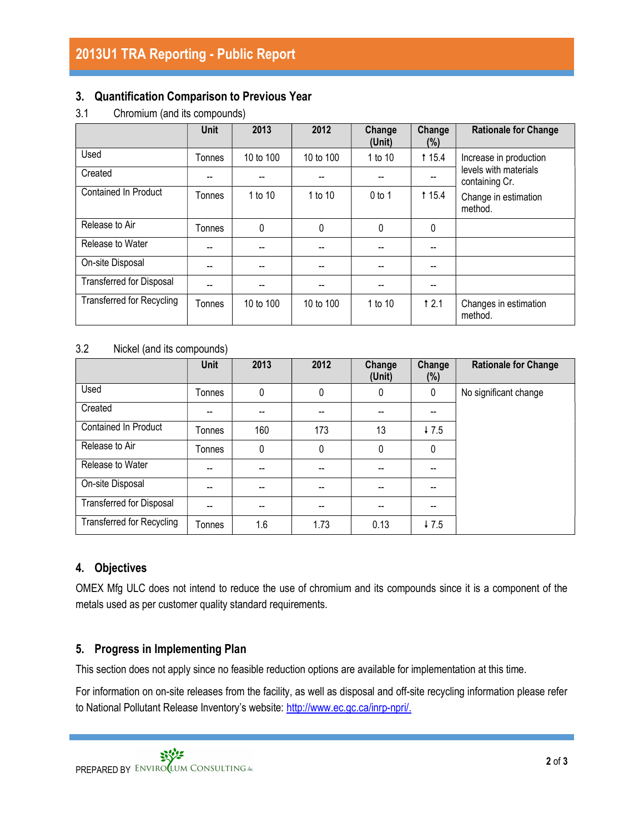### 3. Quantification Comparison to Previous Year

3.1 Chromium (and its compounds)

|                                  | <b>Unit</b> | 2013      | 2012      | Change<br>(Unit) | Change<br>(%) | <b>Rationale for Change</b>                                                |  |
|----------------------------------|-------------|-----------|-----------|------------------|---------------|----------------------------------------------------------------------------|--|
| Used                             | Tonnes      | 10 to 100 | 10 to 100 | 1 to 10          | <b>115.4</b>  | Increase in production                                                     |  |
| Created                          | --          |           |           |                  |               | levels with materials<br>containing Cr.<br>Change in estimation<br>method. |  |
| Contained In Product             | Tonnes      | 1 to 10   | 1 to 10   | $0$ to 1         | <b>115.4</b>  |                                                                            |  |
| Release to Air                   | Tonnes      | 0         | 0         | 0                | 0             |                                                                            |  |
| Release to Water                 | --          |           |           |                  |               |                                                                            |  |
| On-site Disposal                 |             |           |           |                  |               |                                                                            |  |
| <b>Transferred for Disposal</b>  |             |           |           |                  |               |                                                                            |  |
| <b>Transferred for Recycling</b> | Tonnes      | 10 to 100 | 10 to 100 | 1 to 10          | 12.1          | Changes in estimation<br>method.                                           |  |

#### 3.2 Nickel (and its compounds)

|                                  | <b>Unit</b> | 2013 | 2012                     | Change<br>(Unit) | Change<br>(%) | <b>Rationale for Change</b> |
|----------------------------------|-------------|------|--------------------------|------------------|---------------|-----------------------------|
| Used                             | Tonnes      | 0    | 0                        | $\mathbf 0$      | 0             | No significant change       |
| Created                          | --          | --   | --                       |                  | --            |                             |
| Contained In Product             | Tonnes      | 160  | 173                      | 13               | $+7.5$        |                             |
| Release to Air                   | Tonnes      | 0    | 0                        | 0                | 0             |                             |
| Release to Water                 | --          | --   | $\overline{\phantom{m}}$ |                  | --            |                             |
| On-site Disposal                 | --          | --   | --                       | --               | --            |                             |
| Transferred for Disposal         | --          | --   | --                       | --               | --            |                             |
| <b>Transferred for Recycling</b> | Tonnes      | 1.6  | 1.73                     | 0.13             | 47.5          |                             |

# 4. Objectives

OMEX Mfg ULC does not intend to reduce the use of chromium and its compounds since it is a component of the metals used as per customer quality standard requirements.

# 5. Progress in Implementing Plan

This section does not apply since no feasible reduction options are available for implementation at this time.

For information on on-site releases from the facility, as well as disposal and off-site recycling information please refer to National Pollutant Release Inventory's website: http://www.ec.gc.ca/inrp-npri/.